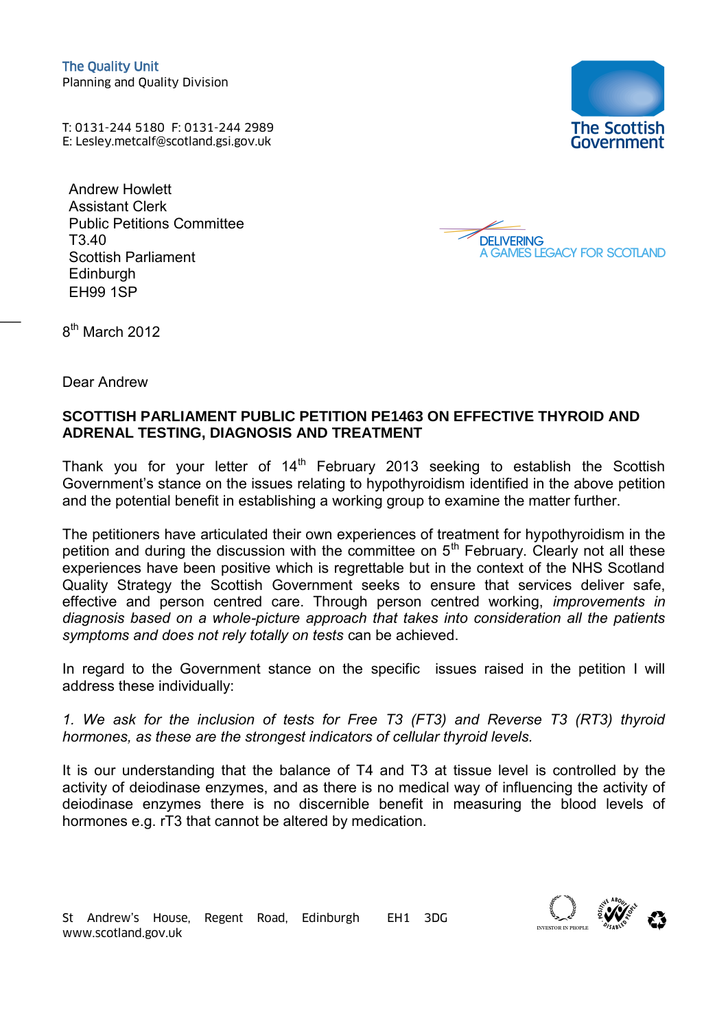T: 0131-244 5180 F: 0131-244 2989 The Quality Unit<br>
Planning and Quality Division<br>
T: 0131-244 5180 F: 0131-244 2989<br>
E: Lesley.metcalf@scotland.gsi.gov.uk

Andrew Howlett Assistant Clerk Public Petitions Committee T3.40 Scottish Parliament Edinburgh EH99 1SP





8<sup>th</sup> March 2012

 $\overline{a}$ 

Dear Andrew

## **SCOTTISH PARLIAMENT PUBLIC PETITION PE1463 ON EFFECTIVE THYROID AND ADRENAL TESTING, DIAGNOSIS AND TREATMENT**

Thank you for your letter of  $14<sup>th</sup>$  February 2013 seeking to establish the Scottish Government's stance on the issues relating to hypothyroidism identified in the above petition and the potential benefit in establishing a working group to examine the matter further.

The petitioners have articulated their own experiences of treatment for hypothyroidism in the petition and during the discussion with the committee on  $5<sup>th</sup>$  February. Clearly not all these experiences have been positive which is regrettable but in the context of the NHS Scotland Quality Strategy the Scottish Government seeks to ensure that services deliver safe, effective and person centred care. Through person centred working, *improvements in diagnosis based on a whole-picture approach that takes into consideration all the patients symptoms and does not rely totally on tests* can be achieved.

In regard to the Government stance on the specific issues raised in the petition I will address these individually:

*1. We ask for the inclusion of tests for Free T3 (FT3) and Reverse T3 (RT3) thyroid hormones, as these are the strongest indicators of cellular thyroid levels.* 

It is our understanding that the balance of T4 and T3 at tissue level is controlled by the activity of deiodinase enzymes, and as there is no medical way of influencing the activity of deiodinase enzymes there is no discernible benefit in measuring the blood levels of hormones e.g. rT3 that cannot be altered by medication.

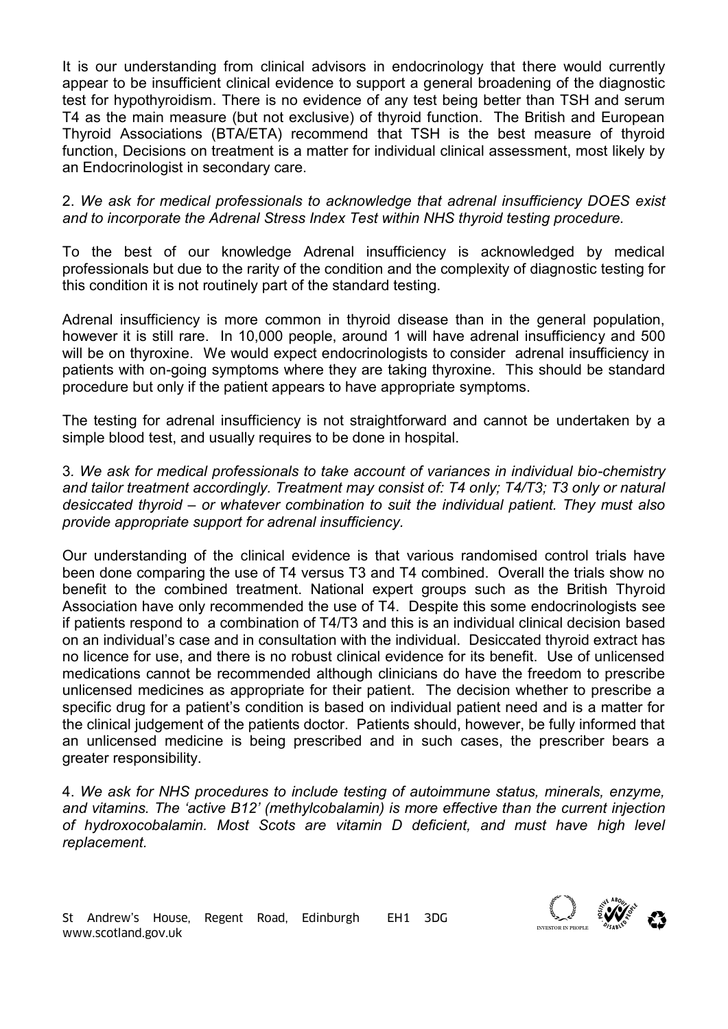It is our understanding from clinical advisors in endocrinology that there would currently appear to be insufficient clinical evidence to support a general broadening of the diagnostic test for hypothyroidism. There is no evidence of any test being better than TSH and serum T4 as the main measure (but not exclusive) of thyroid function. The British and European Thyroid Associations (BTA/ETA) recommend that TSH is the best measure of thyroid function, Decisions on treatment is a matter for individual clinical assessment, most likely by an Endocrinologist in secondary care.

2. *We ask for medical professionals to acknowledge that adrenal insufficiency DOES exist and to incorporate the Adrenal Stress Index Test within NHS thyroid testing procedure.* 

To the best of our knowledge Adrenal insufficiency is acknowledged by medical professionals but due to the rarity of the condition and the complexity of diagnostic testing for this condition it is not routinely part of the standard testing.

Adrenal insufficiency is more common in thyroid disease than in the general population, however it is still rare. In 10,000 people, around 1 will have adrenal insufficiency and 500 will be on thyroxine. We would expect endocrinologists to consider adrenal insufficiency in patients with on-going symptoms where they are taking thyroxine. This should be standard procedure but only if the patient appears to have appropriate symptoms.

The testing for adrenal insufficiency is not straightforward and cannot be undertaken by a simple blood test, and usually requires to be done in hospital.

3*. We ask for medical professionals to take account of variances in individual bio-chemistry and tailor treatment accordingly. Treatment may consist of: T4 only; T4/T3; T3 only or natural desiccated thyroid – or whatever combination to suit the individual patient. They must also provide appropriate support for adrenal insufficiency.* 

Our understanding of the clinical evidence is that various randomised control trials have been done comparing the use of T4 versus T3 and T4 combined. Overall the trials show no benefit to the combined treatment. National expert groups such as the British Thyroid Association have only recommended the use of T4. Despite this some endocrinologists see if patients respond to a combination of T4/T3 and this is an individual clinical decision based on an individual's case and in consultation with the individual. Desiccated thyroid extract has no licence for use, and there is no robust clinical evidence for its benefit. Use of unlicensed medications cannot be recommended although clinicians do have the freedom to prescribe unlicensed medicines as appropriate for their patient. The decision whether to prescribe a specific drug for a patient's condition is based on individual patient need and is a matter for the clinical judgement of the patients doctor. Patients should, however, be fully informed that an unlicensed medicine is being prescribed and in such cases, the prescriber bears a greater responsibility.

4. *We ask for NHS procedures to include testing of autoimmune status, minerals, enzyme, and vitamins. The 'active B12' (methylcobalamin) is more effective than the current injection of hydroxocobalamin. Most Scots are vitamin D deficient, and must have high level replacement.*